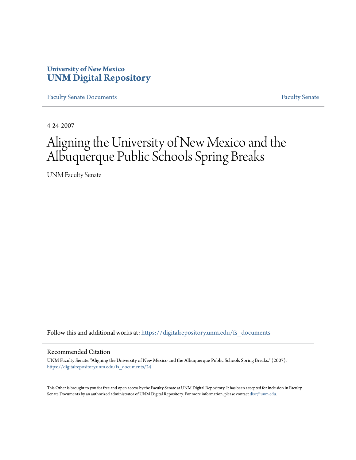## **University of New Mexico [UNM Digital Repository](https://digitalrepository.unm.edu?utm_source=digitalrepository.unm.edu%2Ffs_documents%2F24&utm_medium=PDF&utm_campaign=PDFCoverPages)**

[Faculty Senate Documents](https://digitalrepository.unm.edu/fs_documents?utm_source=digitalrepository.unm.edu%2Ffs_documents%2F24&utm_medium=PDF&utm_campaign=PDFCoverPages) **[Faculty Senate](https://digitalrepository.unm.edu/faculty_senate?utm_source=digitalrepository.unm.edu%2Ffs_documents%2F24&utm_medium=PDF&utm_campaign=PDFCoverPages) Faculty Senate** 

4-24-2007

## Aligning the University of New Mexico and the Albuquerque Public Schools Spring Breaks

UNM Faculty Senate

Follow this and additional works at: [https://digitalrepository.unm.edu/fs\\_documents](https://digitalrepository.unm.edu/fs_documents?utm_source=digitalrepository.unm.edu%2Ffs_documents%2F24&utm_medium=PDF&utm_campaign=PDFCoverPages)

## Recommended Citation

UNM Faculty Senate. "Aligning the University of New Mexico and the Albuquerque Public Schools Spring Breaks." (2007). [https://digitalrepository.unm.edu/fs\\_documents/24](https://digitalrepository.unm.edu/fs_documents/24?utm_source=digitalrepository.unm.edu%2Ffs_documents%2F24&utm_medium=PDF&utm_campaign=PDFCoverPages)

This Other is brought to you for free and open access by the Faculty Senate at UNM Digital Repository. It has been accepted for inclusion in Faculty Senate Documents by an authorized administrator of UNM Digital Repository. For more information, please contact [disc@unm.edu.](mailto:disc@unm.edu)